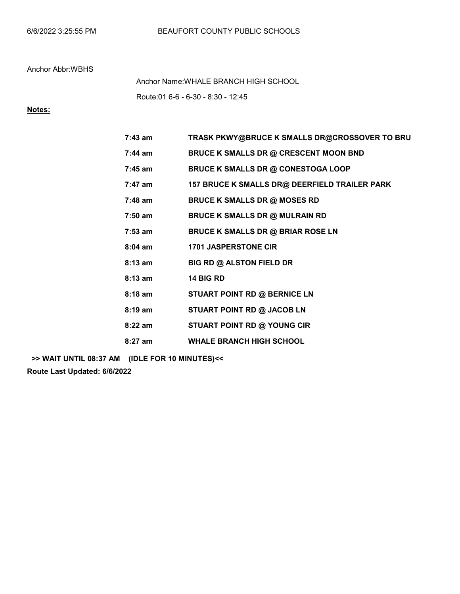Route:01 6-6 - 6-30 - 8:30 - 12:45 Anchor Name:WHALE BRANCH HIGH SCHOOL

## Notes:

| $7:43$ am | TRASK PKWY@BRUCE K SMALLS DR@CROSSOVER TO BRU |
|-----------|-----------------------------------------------|
| $7:44$ am | <b>BRUCE K SMALLS DR @ CRESCENT MOON BND</b>  |
| $7:45$ am | <b>BRUCE K SMALLS DR @ CONESTOGA LOOP</b>     |
| 7:47 am   | 157 BRUCE K SMALLS DR@ DEERFIELD TRAILER PARK |
| $7:48$ am | <b>BRUCE K SMALLS DR @ MOSES RD</b>           |
| $7:50$ am | <b>BRUCE K SMALLS DR @ MULRAIN RD</b>         |
| $7:53$ am | <b>BRUCE K SMALLS DR @ BRIAR ROSE LN</b>      |
| $8:04$ am | <b>1701 JASPERSTONE CIR</b>                   |
| $8:13$ am | <b>BIG RD @ ALSTON FIELD DR</b>               |
| $8:13$ am | 14 BIG RD                                     |
| $8:18$ am | STUART POINT RD @ BERNICE LN                  |
| $8:19$ am | STUART POINT RD @ JACOB LN                    |
| $8:22$ am | STUART POINT RD @ YOUNG CIR                   |
| $8:27$ am | <b>WHALE BRANCH HIGH SCHOOL</b>               |

>> WAIT UNTIL 08:37 AM (IDLE FOR 10 MINUTES)<<

Route Last Updated: 6/6/2022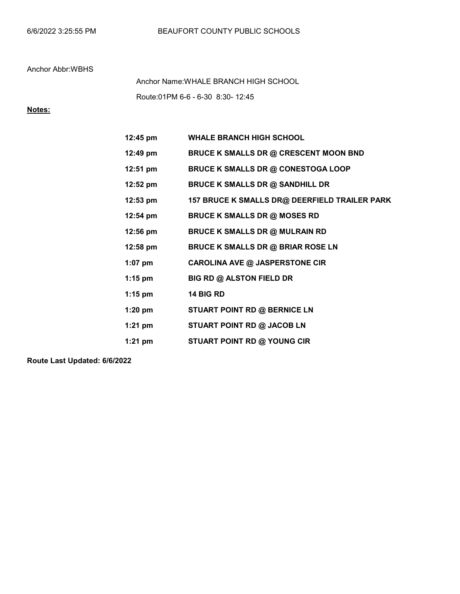Route:01PM 6-6 - 6-30 8:30- 12:45 Anchor Name:WHALE BRANCH HIGH SCHOOL

# Notes:

| $12:45 \text{ pm}$ | <b>WHALE BRANCH HIGH SCHOOL</b>               |
|--------------------|-----------------------------------------------|
| 12:49 pm           | <b>BRUCE K SMALLS DR @ CRESCENT MOON BND</b>  |
| $12:51 \text{ pm}$ | <b>BRUCE K SMALLS DR @ CONESTOGA LOOP</b>     |
| $12:52 \text{ pm}$ | <b>BRUCE K SMALLS DR @ SANDHILL DR</b>        |
| $12:53 \text{ pm}$ | 157 BRUCE K SMALLS DR@ DEERFIELD TRAILER PARK |
| $12:54 \text{ pm}$ | <b>BRUCE K SMALLS DR @ MOSES RD</b>           |
| $12:56 \text{ pm}$ | <b>BRUCE K SMALLS DR @ MULRAIN RD</b>         |
| 12:58 pm           | <b>BRUCE K SMALLS DR @ BRIAR ROSE LN</b>      |
| $1:07$ pm          | <b>CAROLINA AVE @ JASPERSTONE CIR</b>         |
| $1:15$ pm          | <b>BIG RD @ ALSTON FIELD DR</b>               |
| $1:15$ pm          | 14 BIG RD                                     |
| $1:20$ pm          | STUART POINT RD @ BERNICE LN                  |
| $1:21$ pm          | STUART POINT RD @ JACOB LN                    |
| $1:21$ pm          | <b>STUART POINT RD @ YOUNG CIR</b>            |

Route Last Updated: 6/6/2022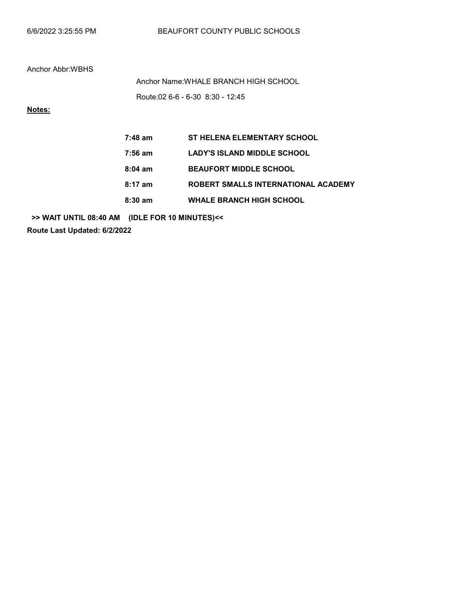Route:02 6-6 - 6-30 8:30 - 12:45 Anchor Name:WHALE BRANCH HIGH SCHOOL

Notes:

| $7:48$ am         | <b>ST HELENA ELEMENTARY SCHOOL</b>  |
|-------------------|-------------------------------------|
| 7:56 am           | <b>LADY'S ISLAND MIDDLE SCHOOL</b>  |
| $8:04 \text{ am}$ | <b>BEAUFORT MIDDLE SCHOOL</b>       |
| $8:17$ am         | ROBERT SMALLS INTERNATIONAL ACADEMY |
| $8:30$ am         | <b>WHALE BRANCH HIGH SCHOOL</b>     |

>> WAIT UNTIL 08:40 AM (IDLE FOR 10 MINUTES)<<

Route Last Updated: 6/2/2022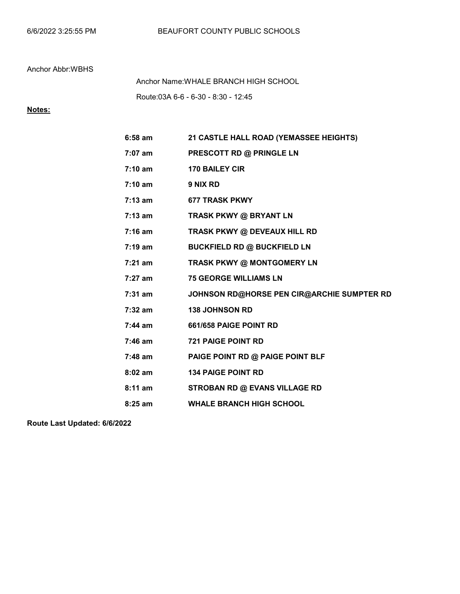Route:03A 6-6 - 6-30 - 8:30 - 12:45 Anchor Name:WHALE BRANCH HIGH SCHOOL

# Notes:

| 6:58 am           | 21 CASTLE HALL ROAD (YEMASSEE HEIGHTS)     |
|-------------------|--------------------------------------------|
| 7:07 am           | PRESCOTT RD @ PRINGLE LN                   |
| $7:10 \text{ am}$ | <b>170 BAILEY CIR</b>                      |
| $7:10$ am         | 9 NIX RD                                   |
| $7:13$ am         | <b>677 TRASK PKWY</b>                      |
| 7:13 am           | TRASK PKWY @ BRYANT LN                     |
| 7:16 am           | TRASK PKWY @ DEVEAUX HILL RD               |
| 7:19 am           | <b>BUCKFIELD RD @ BUCKFIELD LN</b>         |
| $7:21$ am         | TRASK PKWY @ MONTGOMERY LN                 |
| 7:27 am           | <b>75 GEORGE WILLIAMS LN</b>               |
| 7:31 am           | JOHNSON RD@HORSE PEN CIR@ARCHIE SUMPTER RD |
| $7:32$ am         | <b>138 JOHNSON RD</b>                      |
| $7:44$ am         | 661/658 PAIGE POINT RD                     |
| 7:46 am           | <b>721 PAIGE POINT RD</b>                  |
| 7:48 am           | PAIGE POINT RD @ PAIGE POINT BLF           |
| $8:02$ am         | <b>134 PAIGE POINT RD</b>                  |
| 8:11 am           | <b>STROBAN RD @ EVANS VILLAGE RD</b>       |
| $8:25$ am         | <b>WHALE BRANCH HIGH SCHOOL</b>            |

Route Last Updated: 6/6/2022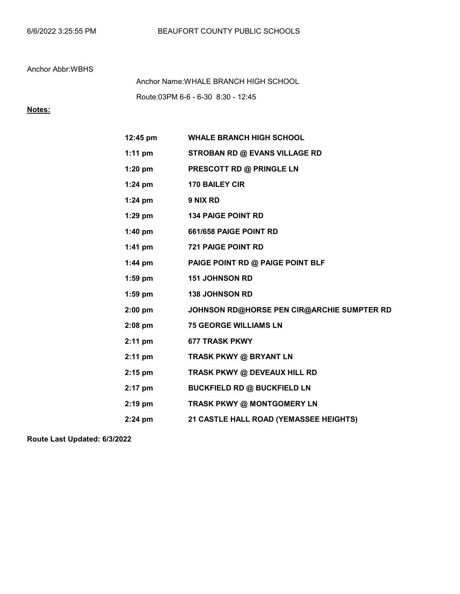Route:03PM 6-6 - 6-30 8:30 - 12:45 Anchor Name:WHALE BRANCH HIGH SCHOOL

## Notes:

| $12:45 \text{ pm}$ | <b>WHALE BRANCH HIGH SCHOOL</b>            |
|--------------------|--------------------------------------------|
| $1:11$ pm          | <b>STROBAN RD @ EVANS VILLAGE RD</b>       |
| $1:20$ pm          | PRESCOTT RD @ PRINGLE LN                   |
| $1:24$ pm          | <b>170 BAILEY CIR</b>                      |
| $1:24$ pm          | 9 NIX RD                                   |
| $1:29$ pm          | <b>134 PAIGE POINT RD</b>                  |
| $1:40$ pm          | 661/658 PAIGE POINT RD                     |
| 1:41 $pm$          | <b>721 PAIGE POINT RD</b>                  |
| $1:44$ pm          | PAIGE POINT RD @ PAIGE POINT BLF           |
| $1:59$ pm          | <b>151 JOHNSON RD</b>                      |
| $1:59$ pm          | <b>138 JOHNSON RD</b>                      |
| $2:00$ pm          | JOHNSON RD@HORSE PEN CIR@ARCHIE SUMPTER RD |
| $2:08$ pm          | <b>75 GEORGE WILLIAMS LN</b>               |
| $2:11$ pm          | <b>677 TRASK PKWY</b>                      |
| $2:11$ pm          | TRASK PKWY @ BRYANT LN                     |
| $2:15$ pm          | TRASK PKWY @ DEVEAUX HILL RD               |
| $2:17$ pm          | <b>BUCKFIELD RD @ BUCKFIELD LN</b>         |
| $2:19$ pm          | TRASK PKWY @ MONTGOMERY LN                 |
| $2:24$ pm          | 21 CASTLE HALL ROAD (YEMASSEE HEIGHTS)     |

Route Last Updated: 6/3/2022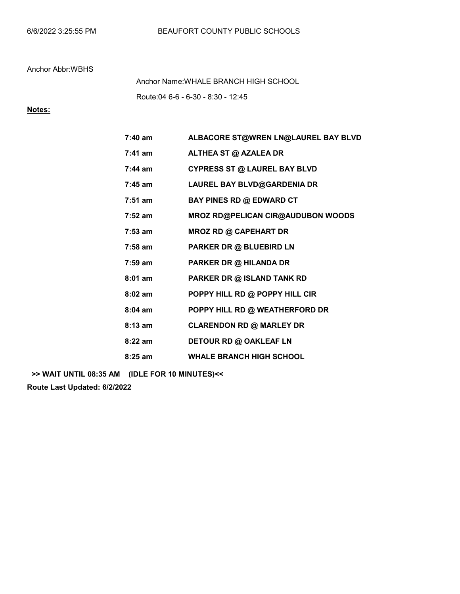Route:04 6-6 - 6-30 - 8:30 - 12:45 Anchor Name:WHALE BRANCH HIGH SCHOOL

## Notes:

| $7:40 \text{ am}$ | ALBACORE ST@WREN LN@LAUREL BAY BLVD      |
|-------------------|------------------------------------------|
| $7:41$ am         | ALTHEA ST @ AZALEA DR                    |
| $7:44$ am         | <b>CYPRESS ST @ LAUREL BAY BLVD</b>      |
| $7:45$ am         | LAUREL BAY BLVD@GARDENIA DR              |
| $7:51$ am         | <b>BAY PINES RD @ EDWARD CT</b>          |
| $7:52$ am         | <b>MROZ RD@PELICAN CIR@AUDUBON WOODS</b> |
| $7:53$ am         | <b>MROZ RD @ CAPEHART DR</b>             |
| $7:58$ am         | PARKER DR @ BLUEBIRD LN                  |
| $7:59$ am         | PARKER DR @ HILANDA DR                   |
| $8:01$ am         | PARKER DR @ ISLAND TANK RD               |
| $8:02$ am         | POPPY HILL RD @ POPPY HILL CIR           |
| $8:04$ am         | POPPY HILL RD @ WEATHERFORD DR           |
| $8:13$ am         | <b>CLARENDON RD @ MARLEY DR</b>          |
| $8:22$ am         | DETOUR RD @ OAKLEAF LN                   |
| $8:25$ am         | <b>WHALE BRANCH HIGH SCHOOL</b>          |

>> WAIT UNTIL 08:35 AM (IDLE FOR 10 MINUTES)<<

Route Last Updated: 6/2/2022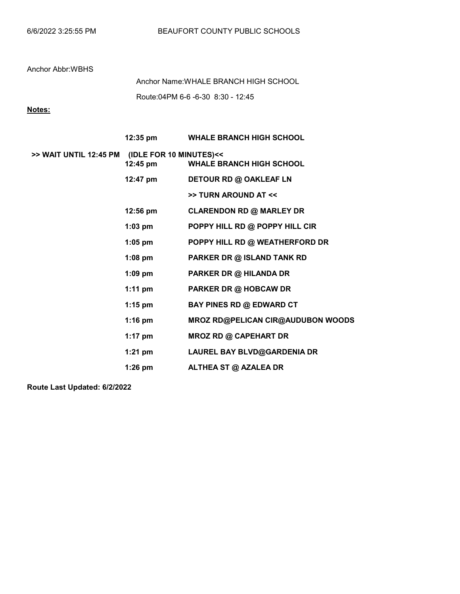Route:04PM 6-6 -6-30 8:30 - 12:45 Anchor Name:WHALE BRANCH HIGH SCHOOL

Notes:

|                                                | 12:35 pm           | <b>WHALE BRANCH HIGH SCHOOL</b>          |
|------------------------------------------------|--------------------|------------------------------------------|
| >> WAIT UNTIL 12:45 PM (IDLE FOR 10 MINUTES)<< | 12:45 pm           | <b>WHALE BRANCH HIGH SCHOOL</b>          |
|                                                | 12:47 pm           | DETOUR RD @ OAKLEAF LN                   |
|                                                |                    | >> TURN AROUND AT <<                     |
|                                                | $12:56 \text{ pm}$ | <b>CLARENDON RD @ MARLEY DR</b>          |
|                                                | $1:03$ pm          | POPPY HILL RD @ POPPY HILL CIR           |
|                                                | $1:05$ pm          | POPPY HILL RD @ WEATHERFORD DR           |
|                                                | $1:08$ pm          | PARKER DR @ ISLAND TANK RD               |
|                                                | $1:09$ pm          | <b>PARKER DR @ HILANDA DR</b>            |
|                                                | 1:11 $pm$          | PARKER DR @ HOBCAW DR                    |
|                                                | 1:15 pm            | <b>BAY PINES RD @ EDWARD CT</b>          |
|                                                | 1:16 pm            | <b>MROZ RD@PELICAN CIR@AUDUBON WOODS</b> |
|                                                | 1:17 $pm$          | <b>MROZ RD @ CAPEHART DR</b>             |
|                                                | 1:21 pm            | <b>LAUREL BAY BLVD@GARDENIA DR</b>       |
|                                                | $1:26$ pm          | ALTHEA ST @ AZALEA DR                    |

Route Last Updated: 6/2/2022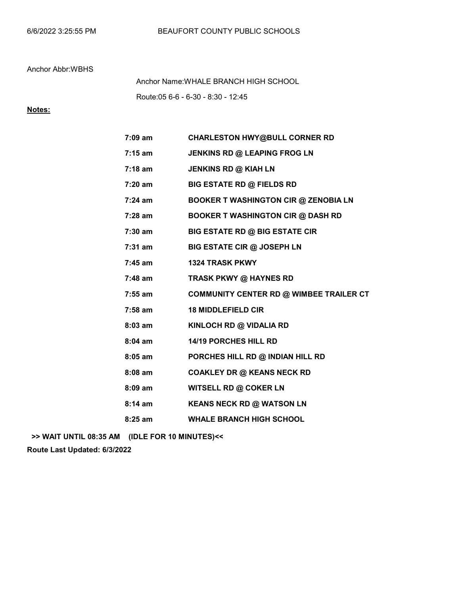Route:05 6-6 - 6-30 - 8:30 - 12:45 Anchor Name:WHALE BRANCH HIGH SCHOOL

## Notes:

| 7:09 am   | <b>CHARLESTON HWY@BULL CORNER RD</b>        |
|-----------|---------------------------------------------|
| $7:15$ am | JENKINS RD @ LEAPING FROG LN                |
| $7:18$ am | JENKINS RD @ KIAH LN                        |
| 7:20 am   | <b>BIG ESTATE RD @ FIELDS RD</b>            |
| $7:24$ am | <b>BOOKER T WASHINGTON CIR @ ZENOBIA LN</b> |
| 7:28 am   | <b>BOOKER T WASHINGTON CIR @ DASH RD</b>    |
| 7:30 am   | <b>BIG ESTATE RD @ BIG ESTATE CIR</b>       |
| $7:31$ am | <b>BIG ESTATE CIR @ JOSEPH LN</b>           |
| $7:45$ am | 1324 TRASK PKWY                             |
| 7:48 am   | TRASK PKWY @ HAYNES RD                      |
| 7:55 am   | COMMUNITY CENTER RD @ WIMBEE TRAILER CT     |
| 7:58 am   | <b>18 MIDDLEFIELD CIR</b>                   |
| 8:03 am   | KINLOCH RD @ VIDALIA RD                     |
| $8:04$ am | 14/19 PORCHES HILL RD                       |
| $8:05$ am | PORCHES HILL RD @ INDIAN HILL RD            |
| $8:08$ am | <b>COAKLEY DR @ KEANS NECK RD</b>           |
| $8:09$ am | WITSELL RD @ COKER LN                       |
| $8:14$ am | <b>KEANS NECK RD @ WATSON LN</b>            |
| $8:25$ am | <b>WHALE BRANCH HIGH SCHOOL</b>             |

>> WAIT UNTIL 08:35 AM (IDLE FOR 10 MINUTES)<<

Route Last Updated: 6/3/2022